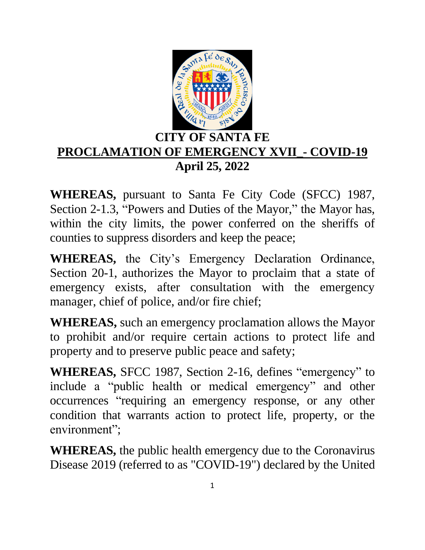

## **CITY OF SANTA FE PROCLAMATION OF EMERGENCY XVII\_- COVID-19 April 25, 2022**

**WHEREAS,** pursuant to Santa Fe City Code (SFCC) 1987, Section 2-1.3, "Powers and Duties of the Mayor," the Mayor has, within the city limits, the power conferred on the sheriffs of counties to suppress disorders and keep the peace;

**WHEREAS,** the City's Emergency Declaration Ordinance, Section 20-1, authorizes the Mayor to proclaim that a state of emergency exists, after consultation with the emergency manager, chief of police, and/or fire chief;

**WHEREAS,** such an emergency proclamation allows the Mayor to prohibit and/or require certain actions to protect life and property and to preserve public peace and safety;

**WHEREAS,** SFCC 1987, Section 2-16, defines "emergency" to include a "public health or medical emergency" and other occurrences "requiring an emergency response, or any other condition that warrants action to protect life, property, or the environment";

**WHEREAS,** the public health emergency due to the Coronavirus Disease 2019 (referred to as "COVID-19") declared by the United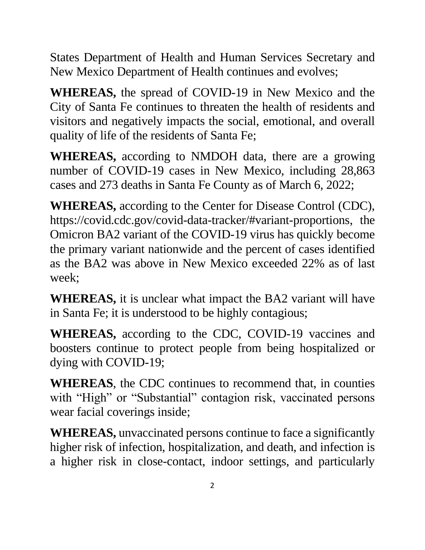States Department of Health and Human Services Secretary and New Mexico Department of Health continues and evolves;

**WHEREAS,** the spread of COVID-19 in New Mexico and the City of Santa Fe continues to threaten the health of residents and visitors and negatively impacts the social, emotional, and overall quality of life of the residents of Santa Fe;

**WHEREAS,** according to NMDOH data, there are a growing number of COVID-19 cases in New Mexico, including 28,863 cases and 273 deaths in Santa Fe County as of March 6, 2022;

**WHEREAS,** according to the Center for Disease Control (CDC), https://covid.cdc.gov/covid-data-tracker/#variant-proportions, the Omicron BA2 variant of the COVID-19 virus has quickly become the primary variant nationwide and the percent of cases identified as the BA2 was above in New Mexico exceeded 22% as of last week;

**WHEREAS,** it is unclear what impact the BA2 variant will have in Santa Fe; it is understood to be highly contagious;

**WHEREAS,** according to the CDC, COVID-19 vaccines and boosters continue to protect people from being hospitalized or dying with COVID-19;

**WHEREAS**, the CDC continues to recommend that, in counties with "High" or "Substantial" contagion risk, vaccinated persons wear facial coverings inside;

**WHEREAS,** unvaccinated persons continue to face a significantly higher risk of infection, hospitalization, and death, and infection is a higher risk in close-contact, indoor settings, and particularly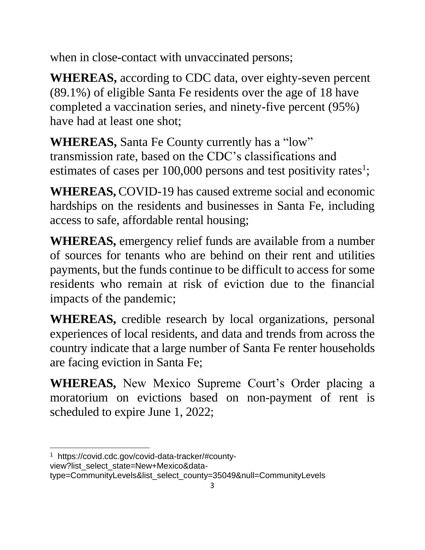when in close-contact with unvaccinated persons;

**WHEREAS,** according to CDC data, over eighty-seven percent (89.1%) of eligible Santa Fe residents over the age of 18 have completed a vaccination series, and ninety-five percent (95%) have had at least one shot;

**WHEREAS,** Santa Fe County currently has a "low" transmission rate, based on the CDC's classifications and estimates of cases per 100,000 persons and test positivity rates<sup>1</sup>;

**WHEREAS,** COVID-19 has caused extreme social and economic hardships on the residents and businesses in Santa Fe, including access to safe, affordable rental housing;

**WHEREAS,** emergency relief funds are available from a number of sources for tenants who are behind on their rent and utilities payments, but the funds continue to be difficult to access for some residents who remain at risk of eviction due to the financial impacts of the pandemic;

**WHEREAS,** credible research by local organizations, personal experiences of local residents, and data and trends from across the country indicate that a large number of Santa Fe renter households are facing eviction in Santa Fe;

**WHEREAS,** New Mexico Supreme Court's Order placing a moratorium on evictions based on non-payment of rent is scheduled to expire June 1, 2022;

type=CommunityLevels&list\_select\_county=35049&null=CommunityLevels

 $\overline{a}$ <sup>1</sup> https://covid.cdc.gov/covid-data-tracker/#countyview?list\_select\_state=New+Mexico&data-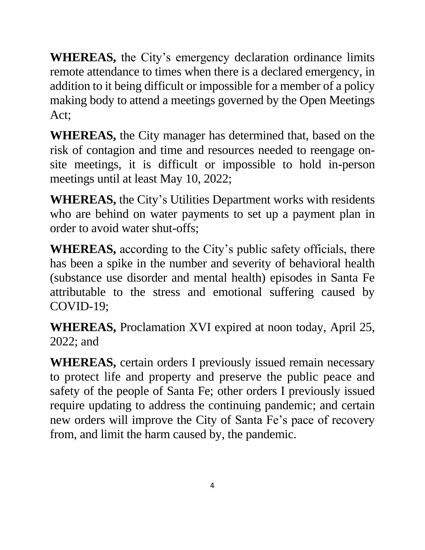**WHEREAS,** the City's emergency declaration ordinance limits remote attendance to times when there is a declared emergency, in addition to it being difficult or impossible for a member of a policy making body to attend a meetings governed by the Open Meetings Act;

**WHEREAS,** the City manager has determined that, based on the risk of contagion and time and resources needed to reengage onsite meetings, it is difficult or impossible to hold in-person meetings until at least May 10, 2022;

**WHEREAS,** the City's Utilities Department works with residents who are behind on water payments to set up a payment plan in order to avoid water shut-offs;

**WHEREAS,** according to the City's public safety officials, there has been a spike in the number and severity of behavioral health (substance use disorder and mental health) episodes in Santa Fe attributable to the stress and emotional suffering caused by COVID-19;

**WHEREAS,** Proclamation XVI expired at noon today, April 25, 2022; and

**WHEREAS,** certain orders I previously issued remain necessary to protect life and property and preserve the public peace and safety of the people of Santa Fe; other orders I previously issued require updating to address the continuing pandemic; and certain new orders will improve the City of Santa Fe's pace of recovery from, and limit the harm caused by, the pandemic.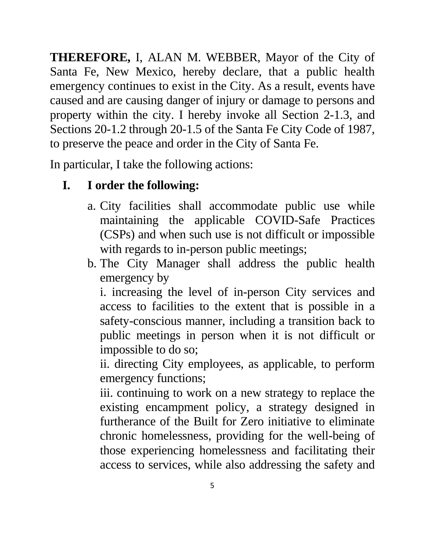**THEREFORE,** I, ALAN M. WEBBER, Mayor of the City of Santa Fe, New Mexico, hereby declare, that a public health emergency continues to exist in the City. As a result, events have caused and are causing danger of injury or damage to persons and property within the city. I hereby invoke all Section 2-1.3, and Sections 20-1.2 through 20-1.5 of the Santa Fe City Code of 1987, to preserve the peace and order in the City of Santa Fe.

In particular, I take the following actions:

# **I. I order the following:**

- a. City facilities shall accommodate public use while maintaining the applicable COVID-Safe Practices (CSPs) and when such use is not difficult or impossible with regards to in-person public meetings;
- b. The City Manager shall address the public health emergency by

i. increasing the level of in-person City services and access to facilities to the extent that is possible in a safety-conscious manner, including a transition back to public meetings in person when it is not difficult or impossible to do so;

ii. directing City employees, as applicable, to perform emergency functions;

iii. continuing to work on a new strategy to replace the existing encampment policy, a strategy designed in furtherance of the Built for Zero initiative to eliminate chronic homelessness, providing for the well-being of those experiencing homelessness and facilitating their access to services, while also addressing the safety and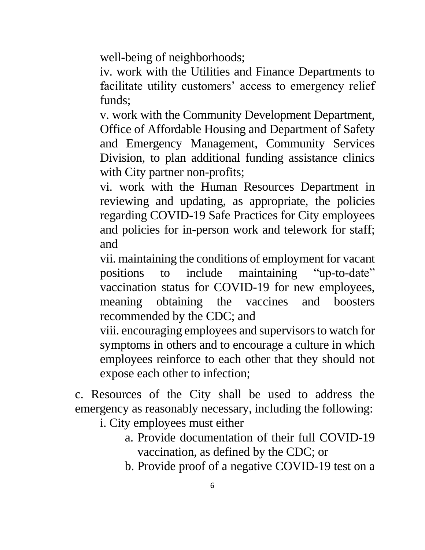well-being of neighborhoods;

iv. work with the Utilities and Finance Departments to facilitate utility customers' access to emergency relief funds;

v. work with the Community Development Department, Office of Affordable Housing and Department of Safety and Emergency Management, Community Services Division, to plan additional funding assistance clinics with City partner non-profits;

vi. work with the Human Resources Department in reviewing and updating, as appropriate, the policies regarding COVID-19 Safe Practices for City employees and policies for in-person work and telework for staff; and

vii. maintaining the conditions of employment for vacant positions to include maintaining "up-to-date" vaccination status for COVID-19 for new employees, meaning obtaining the vaccines and boosters recommended by the CDC; and

viii. encouraging employees and supervisors to watch for symptoms in others and to encourage a culture in which employees reinforce to each other that they should not expose each other to infection;

c. Resources of the City shall be used to address the emergency as reasonably necessary, including the following:

i. City employees must either

- a. Provide documentation of their full COVID-19 vaccination, as defined by the CDC; or
- b. Provide proof of a negative COVID-19 test on a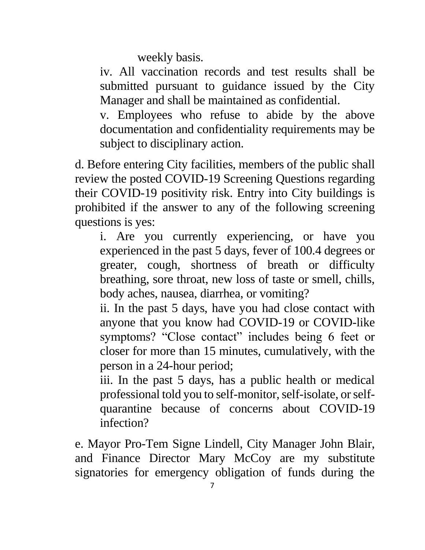weekly basis.

iv. All vaccination records and test results shall be submitted pursuant to guidance issued by the City Manager and shall be maintained as confidential.

v. Employees who refuse to abide by the above documentation and confidentiality requirements may be subject to disciplinary action.

d. Before entering City facilities, members of the public shall review the posted COVID-19 Screening Questions regarding their COVID-19 positivity risk. Entry into City buildings is prohibited if the answer to any of the following screening questions is yes:

i. Are you currently experiencing, or have you experienced in the past 5 days, fever of 100.4 degrees or greater, cough, shortness of breath or difficulty breathing, sore throat, new loss of taste or smell, chills, body aches, nausea, diarrhea, or vomiting?

ii. In the past 5 days, have you had close contact with anyone that you know had COVID-19 or COVID-like symptoms? "Close contact" includes being 6 feet or closer for more than 15 minutes, cumulatively, with the person in a 24-hour period;

iii. In the past 5 days, has a public health or medical professional told you to self-monitor, self-isolate, or selfquarantine because of concerns about COVID-19 infection?

e. Mayor Pro-Tem Signe Lindell, City Manager John Blair, and Finance Director Mary McCoy are my substitute signatories for emergency obligation of funds during the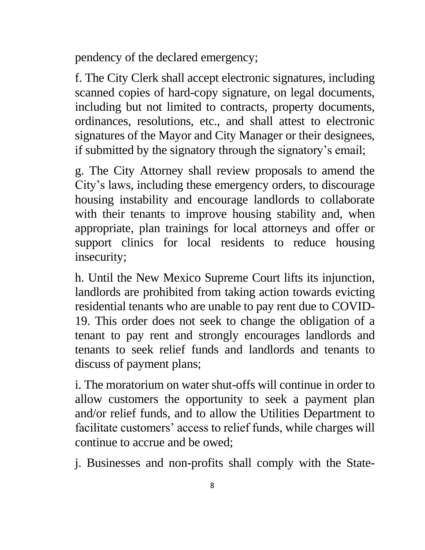pendency of the declared emergency;

f. The City Clerk shall accept electronic signatures, including scanned copies of hard-copy signature, on legal documents, including but not limited to contracts, property documents, ordinances, resolutions, etc., and shall attest to electronic signatures of the Mayor and City Manager or their designees, if submitted by the signatory through the signatory's email;

g. The City Attorney shall review proposals to amend the City's laws, including these emergency orders, to discourage housing instability and encourage landlords to collaborate with their tenants to improve housing stability and, when appropriate, plan trainings for local attorneys and offer or support clinics for local residents to reduce housing insecurity;

h. Until the New Mexico Supreme Court lifts its injunction, landlords are prohibited from taking action towards evicting residential tenants who are unable to pay rent due to COVID-19. This order does not seek to change the obligation of a tenant to pay rent and strongly encourages landlords and tenants to seek relief funds and landlords and tenants to discuss of payment plans;

i. The moratorium on water shut-offs will continue in order to allow customers the opportunity to seek a payment plan and/or relief funds, and to allow the Utilities Department to facilitate customers' access to relief funds, while charges will continue to accrue and be owed;

j. Businesses and non-profits shall comply with the State-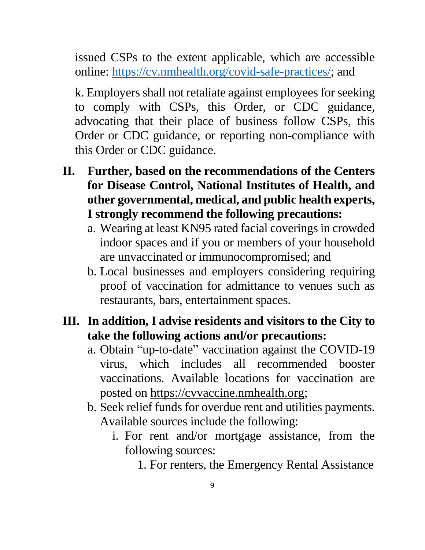issued CSPs to the extent applicable, which are accessible online: [https://cv.nmhealth.org/covid-safe-practices/;](https://cv.nmhealth.org/covid-safe-practices/) and

k. Employers shall not retaliate against employees for seeking to comply with CSPs, this Order, or CDC guidance, advocating that their place of business follow CSPs, this Order or CDC guidance, or reporting non-compliance with this Order or CDC guidance.

- **II. Further, based on the recommendations of the Centers for Disease Control, National Institutes of Health, and other governmental, medical, and public health experts, I strongly recommend the following precautions:** 
	- a. Wearing at least KN95 rated facial coverings in crowded indoor spaces and if you or members of your household are unvaccinated or immunocompromised; and
	- b. Local businesses and employers considering requiring proof of vaccination for admittance to venues such as restaurants, bars, entertainment spaces.

#### **III. In addition, I advise residents and visitors to the City to take the following actions and/or precautions:**

- a. Obtain "up-to-date" vaccination against the COVID-19 virus, which includes all recommended booster vaccinations. Available locations for vaccination are posted on [https://cvvaccine.nmhealth.org;](https://cvvaccine.nmhealth.org/)
- b. Seek relief funds for overdue rent and utilities payments. Available sources include the following:
	- i. For rent and/or mortgage assistance, from the following sources:

<sup>1.</sup> For renters, the Emergency Rental Assistance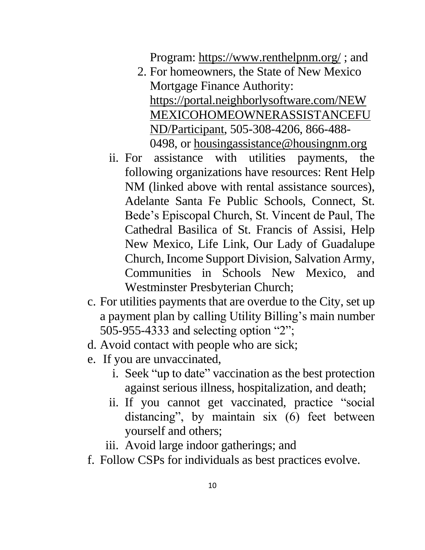Program:<https://www.renthelpnm.org/> ; and

- 2. For homeowners, the State of New Mexico Mortgage Finance Authority: [https://portal.neighborlysoftware.com/NEW](https://portal.neighborlysoftware.com/NEWMEXICOHOMEOWNERASSISTANCEFUND/Participant) [MEXICOHOMEOWNERASSISTANCEFU](https://portal.neighborlysoftware.com/NEWMEXICOHOMEOWNERASSISTANCEFUND/Participant) [ND/Participant,](https://portal.neighborlysoftware.com/NEWMEXICOHOMEOWNERASSISTANCEFUND/Participant) 505-308-4206, 866-488- 0498, or [housingassistance@housingnm.org](mailto:housingassistance@housingnm.org)
- ii. For assistance with utilities payments, the following organizations have resources: Rent Help NM (linked above with rental assistance sources), Adelante Santa Fe Public Schools, Connect, St. Bede's Episcopal Church, St. Vincent de Paul, The Cathedral Basilica of St. Francis of Assisi, Help New Mexico, Life Link, Our Lady of Guadalupe Church, Income Support Division, Salvation Army, Communities in Schools New Mexico, and Westminster Presbyterian Church;
- c. For utilities payments that are overdue to the City, set up a payment plan by calling Utility Billing's main number 505-955-4333 and selecting option "2";
- d. Avoid contact with people who are sick;
- e. If you are unvaccinated,
	- i. Seek "up to date" vaccination as the best protection against serious illness, hospitalization, and death;
	- ii. If you cannot get vaccinated, practice "social distancing", by maintain six (6) feet between yourself and others;
	- iii. Avoid large indoor gatherings; and
- f. Follow CSPs for individuals as best practices evolve.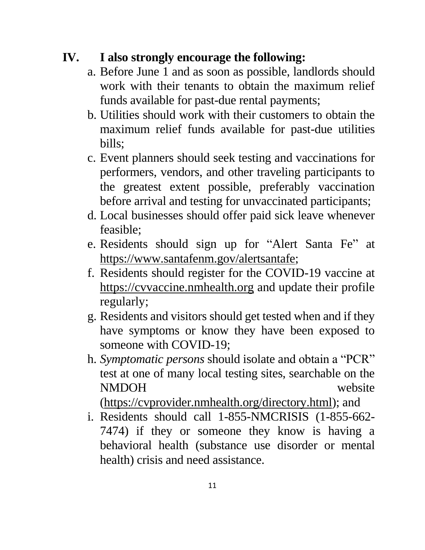## **IV. I also strongly encourage the following:**

- a. Before June 1 and as soon as possible, landlords should work with their tenants to obtain the maximum relief funds available for past-due rental payments;
- b. Utilities should work with their customers to obtain the maximum relief funds available for past-due utilities bills;
- c. Event planners should seek testing and vaccinations for performers, vendors, and other traveling participants to the greatest extent possible, preferably vaccination before arrival and testing for unvaccinated participants;
- d. Local businesses should offer paid sick leave whenever feasible;
- e. Residents should sign up for "Alert Santa Fe" at [https://www.santafenm.gov/alertsantafe;](https://www.santafenm.gov/alertsantafe)
- f. Residents should register for the COVID-19 vaccine at [https://cvvaccine.nmhealth.org](https://cvvaccine.nmhealth.org/) and update their profile regularly;
- g. Residents and visitors should get tested when and if they have symptoms or know they have been exposed to someone with COVID-19;
- h. *Symptomatic persons* should isolate and obtain a "PCR" test at one of many local testing sites, searchable on the NMDOH website

[\(https://cvprovider.nmhealth.org/directory.html\)](https://cvprovider.nmhealth.org/directory.html); and

i. Residents should call 1-855-NMCRISIS (1-855-662- 7474) if they or someone they know is having a behavioral health (substance use disorder or mental health) crisis and need assistance.